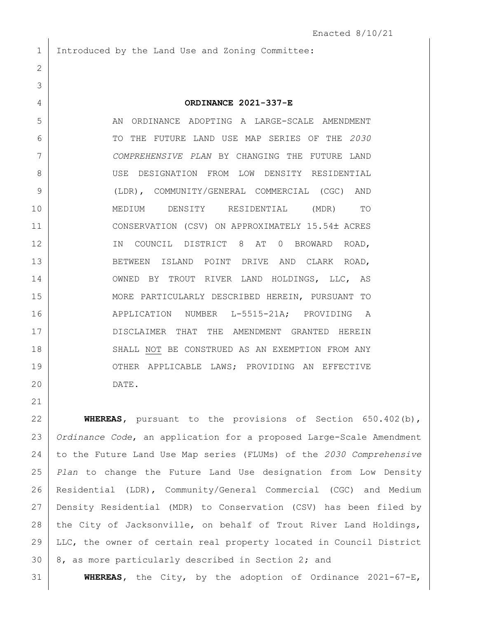Introduced by the Land Use and Zoning Committee:

## **ORDINANCE 2021-337-E**

 AN ORDINANCE ADOPTING A LARGE-SCALE AMENDMENT TO THE FUTURE LAND USE MAP SERIES OF THE *2030 COMPREHENSIVE PLAN* BY CHANGING THE FUTURE LAND 8 USE DESIGNATION FROM LOW DENSITY RESIDENTIAL (LDR), COMMUNITY/GENERAL COMMERCIAL (CGC) AND MEDIUM DENSITY RESIDENTIAL (MDR) TO CONSERVATION (CSV) ON APPROXIMATELY 15.54 ACRES 12 IN COUNCIL DISTRICT 8 AT 0 BROWARD ROAD, 13 BETWEEN ISLAND POINT DRIVE AND CLARK ROAD, OWNED BY TROUT RIVER LAND HOLDINGS, LLC, AS MORE PARTICULARLY DESCRIBED HEREIN, PURSUANT TO 16 APPLICATION NUMBER L-5515-21A; PROVIDING A DISCLAIMER THAT THE AMENDMENT GRANTED HEREIN 18 SHALL NOT BE CONSTRUED AS AN EXEMPTION FROM ANY 19 OTHER APPLICABLE LAWS; PROVIDING AN EFFECTIVE DATE.

 **WHEREAS,** pursuant to the provisions of Section 650.402(b), *Ordinance Code*, an application for a proposed Large-Scale Amendment to the Future Land Use Map series (FLUMs) of the *2030 Comprehensive Plan* to change the Future Land Use designation from Low Density Residential (LDR), Community/General Commercial (CGC) and Medium Density Residential (MDR) to Conservation (CSV) has been filed by 28 the City of Jacksonville, on behalf of Trout River Land Holdings, LLC, the owner of certain real property located in Council District 30 8, as more particularly described in Section 2; and

**WHEREAS,** the City, by the adoption of Ordinance 2021-67-E,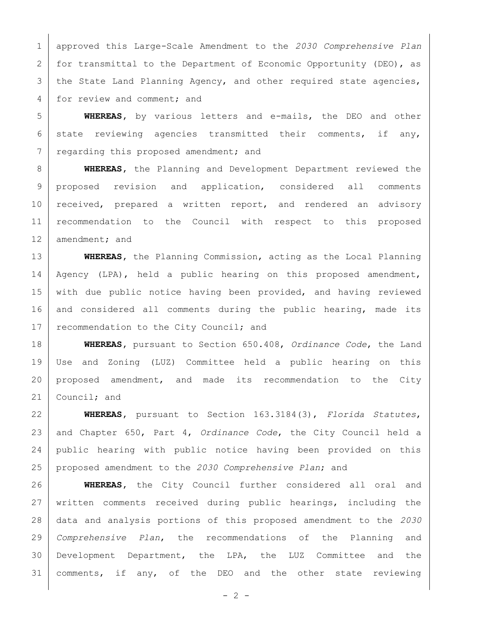approved this Large-Scale Amendment to the *2030 Comprehensive Plan* 2 for transmittal to the Department of Economic Opportunity (DEO), as 3 | the State Land Planning Agency, and other required state agencies, 4 for review and comment; and

 **WHEREAS,** by various letters and e-mails, the DEO and other 6 state reviewing agencies transmitted their comments, if any, 7 regarding this proposed amendment; and

 **WHEREAS,** the Planning and Development Department reviewed the proposed revision and application, considered all comments 10 | received, prepared a written report, and rendered an advisory recommendation to the Council with respect to this proposed 12 amendment; and

 **WHEREAS,** the Planning Commission, acting as the Local Planning 14 | Agency (LPA), held a public hearing on this proposed amendment, with due public notice having been provided, and having reviewed 16 and considered all comments during the public hearing, made its 17 | recommendation to the City Council; and

 **WHEREAS,** pursuant to Section 650.408, *Ordinance Code*, the Land Use and Zoning (LUZ) Committee held a public hearing on this proposed amendment, and made its recommendation to the City 21 Council; and

 **WHEREAS,** pursuant to Section 163.3184(3), *Florida Statutes*, and Chapter 650, Part 4, *Ordinance Code*, the City Council held a public hearing with public notice having been provided on this proposed amendment to the *2030 Comprehensive Plan*; and

 **WHEREAS,** the City Council further considered all oral and written comments received during public hearings, including the data and analysis portions of this proposed amendment to the *2030 Comprehensive Plan*, the recommendations of the Planning and Development Department, the LPA, the LUZ Committee and the comments, if any, of the DEO and the other state reviewing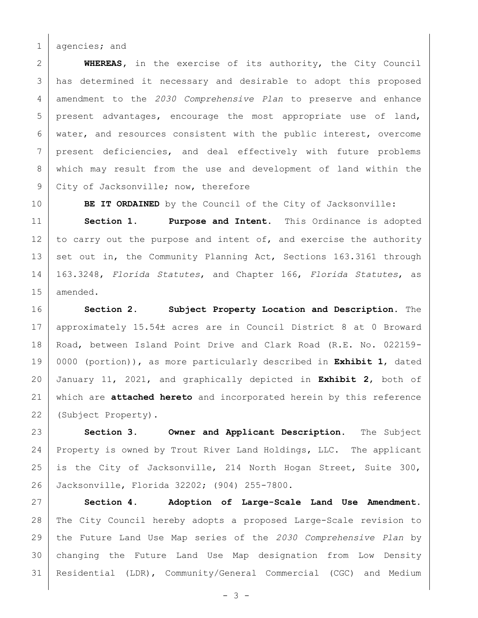1 agencies; and

 **WHEREAS,** in the exercise of its authority, the City Council has determined it necessary and desirable to adopt this proposed amendment to the *2030 Comprehensive Plan* to preserve and enhance present advantages, encourage the most appropriate use of land, water, and resources consistent with the public interest, overcome present deficiencies, and deal effectively with future problems which may result from the use and development of land within the 9 City of Jacksonville; now, therefore

**BE IT ORDAINED** by the Council of the City of Jacksonville:

 **Section 1. Purpose and Intent.** This Ordinance is adopted 12 to carry out the purpose and intent of, and exercise the authority 13 set out in, the Community Planning Act, Sections 163.3161 through 163.3248, *Florida Statutes*, and Chapter 166, *Florida Statutes*, as 15 amended.

 **Section 2. Subject Property Location and Description.** The approximately 15.54 acres are in Council District 8 at 0 Broward Road, between Island Point Drive and Clark Road (R.E. No. 022159- 0000 (portion)), as more particularly described in **Exhibit 1**, dated January 11, 2021, and graphically depicted in **Exhibit 2**, both of which are **attached hereto** and incorporated herein by this reference (Subject Property).

 **Section 3. Owner and Applicant Description.** The Subject 24 Property is owned by Trout River Land Holdings, LLC. The applicant is the City of Jacksonville, 214 North Hogan Street, Suite 300, Jacksonville, Florida 32202; (904) 255-7800.

 **Section 4. Adoption of Large-Scale Land Use Amendment.**  The City Council hereby adopts a proposed Large-Scale revision to the Future Land Use Map series of the *2030 Comprehensive Plan* by changing the Future Land Use Map designation from Low Density Residential (LDR), Community/General Commercial (CGC) and Medium

 $- 3 -$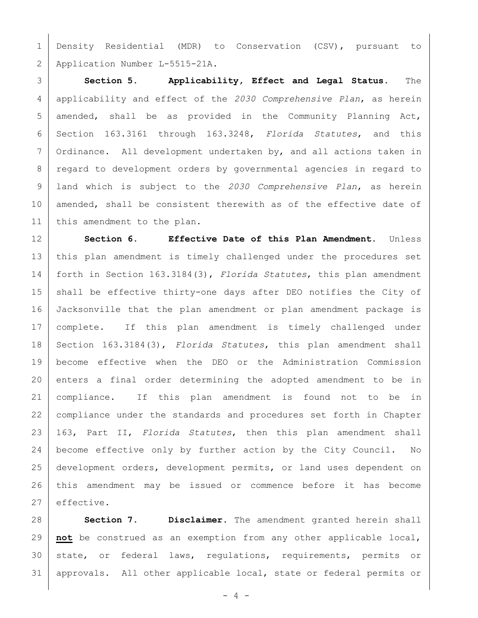Density Residential (MDR) to Conservation (CSV), pursuant to Application Number L-5515-21A.

 **Section 5. Applicability, Effect and Legal Status.** The applicability and effect of the *2030 Comprehensive Plan*, as herein amended, shall be as provided in the Community Planning Act, Section 163.3161 through 163.3248, *Florida Statutes*, and this 7 Ordinance. All development undertaken by, and all actions taken in regard to development orders by governmental agencies in regard to land which is subject to the *2030 Comprehensive Plan*, as herein 10 amended, shall be consistent therewith as of the effective date of 11 this amendment to the plan.

 **Section 6. Effective Date of this Plan Amendment.** Unless this plan amendment is timely challenged under the procedures set forth in Section 163.3184(3), *Florida Statutes*, this plan amendment 15 shall be effective thirty-one days after DEO notifies the City of Jacksonville that the plan amendment or plan amendment package is complete. If this plan amendment is timely challenged under Section 163.3184(3), *Florida Statutes*, this plan amendment shall become effective when the DEO or the Administration Commission enters a final order determining the adopted amendment to be in compliance. If this plan amendment is found not to be in compliance under the standards and procedures set forth in Chapter 163, Part II, *Florida Statutes*, then this plan amendment shall become effective only by further action by the City Council. No development orders, development permits, or land uses dependent on this amendment may be issued or commence before it has become effective.

 **Section 7. Disclaimer.** The amendment granted herein shall **not** be construed as an exemption from any other applicable local, state, or federal laws, regulations, requirements, permits or approvals. All other applicable local, state or federal permits or

 $-4 -$